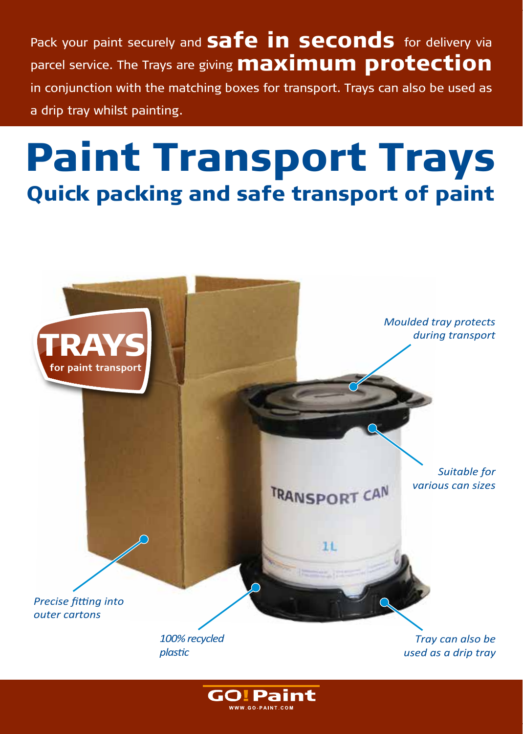Pack your paint securely and **Safe in seconds** for delivery via parcel service. The Trays are giving **maximum protection** in conjunction with the matching boxes for transport. Trays can also be used as a drip tray whilst painting.

# Paint Transport Trays Quick packing and safe transport of paint



**GO!Paint** WWW GO-PAINT CON